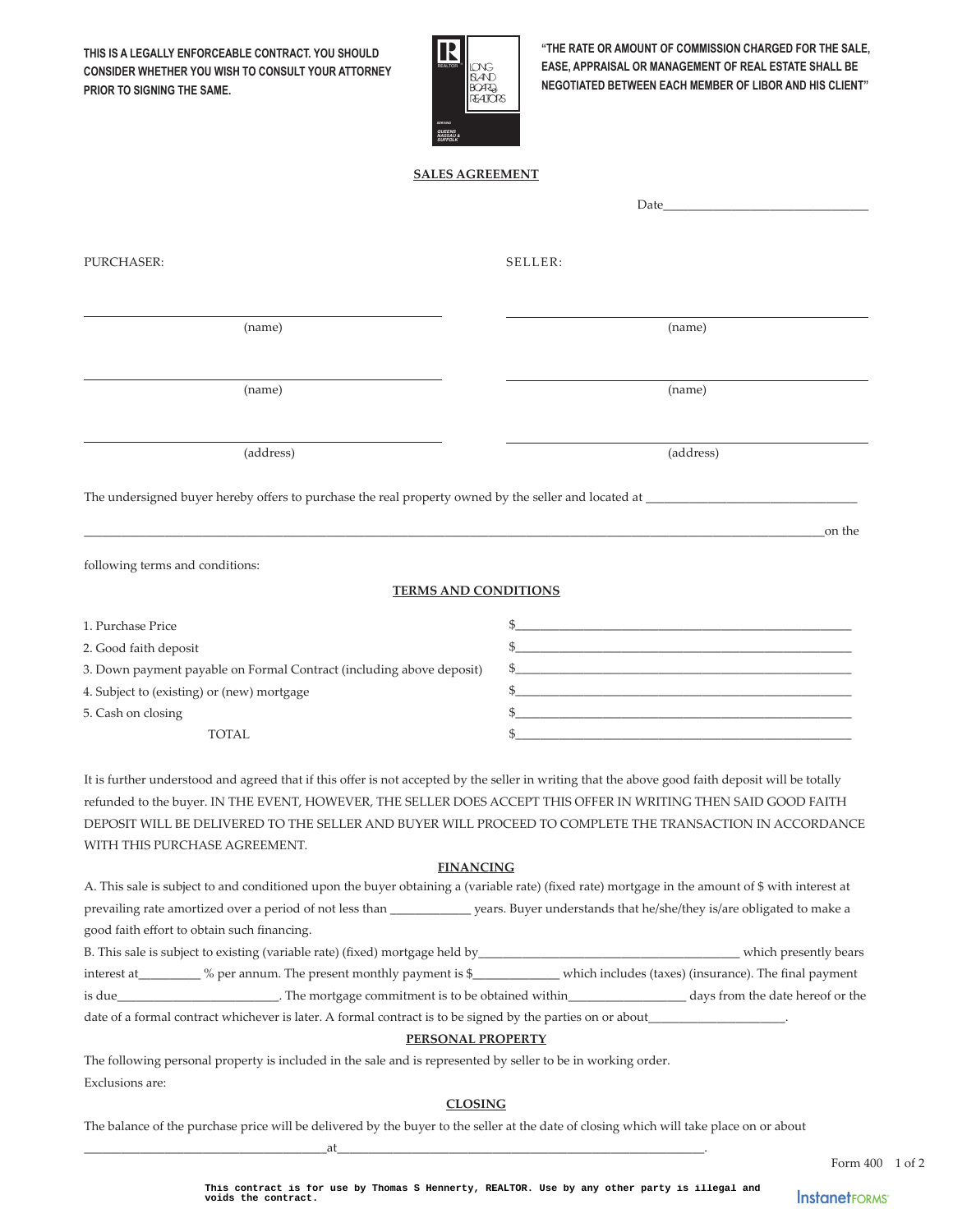**THIS IS A LEGALLY ENFORCEABLE CONTRACT. YOU SHOULD CONSIDER WHETHER YOU WISH TO CONSULT YOUR ATTORNEY PRIOR TO SIGNING THE SAME.**



**"THE RATE OR AMOUNT OF COMMISSION CHARGED FOR THE SALE, EASE, APPRAISAL OR MANAGEMENT OF REAL ESTATE SHALL BE NEGOTIATED BETWEEN EACH MEMBER OF LIBOR AND HIS CLIENT"**

# **SALES AGREEMENT SALES AGREEMENT**

| SELLER:                                                                                                                                                                                                                                                                                                                                                                          |
|----------------------------------------------------------------------------------------------------------------------------------------------------------------------------------------------------------------------------------------------------------------------------------------------------------------------------------------------------------------------------------|
| (name)                                                                                                                                                                                                                                                                                                                                                                           |
| (name)                                                                                                                                                                                                                                                                                                                                                                           |
| (address)                                                                                                                                                                                                                                                                                                                                                                        |
|                                                                                                                                                                                                                                                                                                                                                                                  |
| on the                                                                                                                                                                                                                                                                                                                                                                           |
|                                                                                                                                                                                                                                                                                                                                                                                  |
| <b>TERMS AND CONDITIONS</b>                                                                                                                                                                                                                                                                                                                                                      |
| $\frac{1}{2}$                                                                                                                                                                                                                                                                                                                                                                    |
| $\frac{1}{2}$                                                                                                                                                                                                                                                                                                                                                                    |
|                                                                                                                                                                                                                                                                                                                                                                                  |
|                                                                                                                                                                                                                                                                                                                                                                                  |
| <u> 1989 - Johann Stoff, amerikansk politiker (* 1908)</u>                                                                                                                                                                                                                                                                                                                       |
|                                                                                                                                                                                                                                                                                                                                                                                  |
| It is further understood and agreed that if this offer is not accepted by the seller in writing that the above good faith deposit will be totally<br>refunded to the buyer. IN THE EVENT, HOWEVER, THE SELLER DOES ACCEPT THIS OFFER IN WRITING THEN SAID GOOD FAITH<br>DEPOSIT WILL BE DELIVERED TO THE SELLER AND BUYER WILL PROCEED TO COMPLETE THE TRANSACTION IN ACCORDANCE |
|                                                                                                                                                                                                                                                                                                                                                                                  |

#### **FINANCING**

|                                                                                                            | A. This sale is subject to and conditioned upon the buyer obtaining a (variable rate) (fixed rate) mortgage in the amount of \$ with interest at |                                                                      |                                                       |  |  |  |
|------------------------------------------------------------------------------------------------------------|--------------------------------------------------------------------------------------------------------------------------------------------------|----------------------------------------------------------------------|-------------------------------------------------------|--|--|--|
|                                                                                                            | prevailing rate amortized over a period of not less than                                                                                         | years. Buyer understands that he/she/they is/are obligated to make a |                                                       |  |  |  |
|                                                                                                            | good faith effort to obtain such financing.                                                                                                      |                                                                      |                                                       |  |  |  |
|                                                                                                            | B. This sale is subject to existing (variable rate) (fixed) mortgage held by_                                                                    |                                                                      | which presently bears                                 |  |  |  |
| interest at                                                                                                | $%$ per annum. The present monthly payment is \$                                                                                                 |                                                                      | which includes (taxes) (insurance). The final payment |  |  |  |
| is due                                                                                                     | . The mortgage commitment is to be obtained within                                                                                               |                                                                      | days from the date hereof or the                      |  |  |  |
| date of a formal contract whichever is later. A formal contract is to be signed by the parties on or about |                                                                                                                                                  |                                                                      |                                                       |  |  |  |
|                                                                                                            |                                                                                                                                                  |                                                                      |                                                       |  |  |  |

### **PERSONAL PROPERTY**

The following personal property is included in the sale and is represented by seller to be in working order. Exclusions are:

\_\_\_\_\_\_\_\_\_\_\_\_\_\_\_\_\_\_\_\_\_\_\_\_\_\_\_\_\_\_\_\_\_\_\_\_\_\_\_at\_\_\_\_\_\_\_\_\_\_\_\_\_\_\_\_\_\_\_\_\_\_\_\_\_\_\_\_\_\_\_\_\_\_\_\_\_\_\_\_\_\_\_\_\_\_\_\_\_\_\_\_\_\_\_\_\_\_\_.

## **CLOSING**

The balance of the purchase price will be delivered by the buyer to the seller at the date of closing which will take place on or about